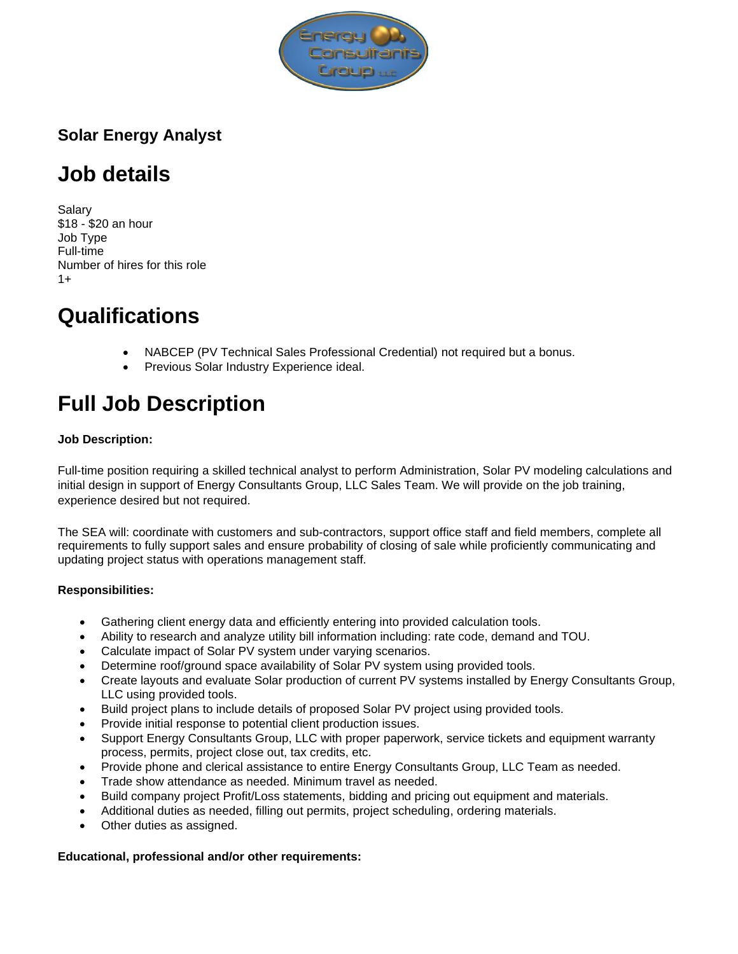

# **Solar Energy Analyst**

# **Job details**

Salary \$18 - \$20 an hour Job Type Full-time Number of hires for this role  $1+$ 

# **Qualifications**

- NABCEP (PV Technical Sales Professional Credential) not required but a bonus.
- Previous Solar Industry Experience ideal.

# **Full Job Description**

## **Job Description:**

Full-time position requiring a skilled technical analyst to perform Administration, Solar PV modeling calculations and initial design in support of Energy Consultants Group, LLC Sales Team. We will provide on the job training, experience desired but not required.

The SEA will: coordinate with customers and sub-contractors, support office staff and field members, complete all requirements to fully support sales and ensure probability of closing of sale while proficiently communicating and updating project status with operations management staff.

## **Responsibilities:**

- Gathering client energy data and efficiently entering into provided calculation tools.
- Ability to research and analyze utility bill information including: rate code, demand and TOU.
- Calculate impact of Solar PV system under varying scenarios.
- Determine roof/ground space availability of Solar PV system using provided tools.
- Create layouts and evaluate Solar production of current PV systems installed by Energy Consultants Group, LLC using provided tools.
- Build project plans to include details of proposed Solar PV project using provided tools.
- Provide initial response to potential client production issues.
- Support Energy Consultants Group, LLC with proper paperwork, service tickets and equipment warranty process, permits, project close out, tax credits, etc.
- Provide phone and clerical assistance to entire Energy Consultants Group, LLC Team as needed.
- Trade show attendance as needed. Minimum travel as needed.
- Build company project Profit/Loss statements, bidding and pricing out equipment and materials.
- Additional duties as needed, filling out permits, project scheduling, ordering materials.
- Other duties as assigned.

#### **Educational, professional and/or other requirements:**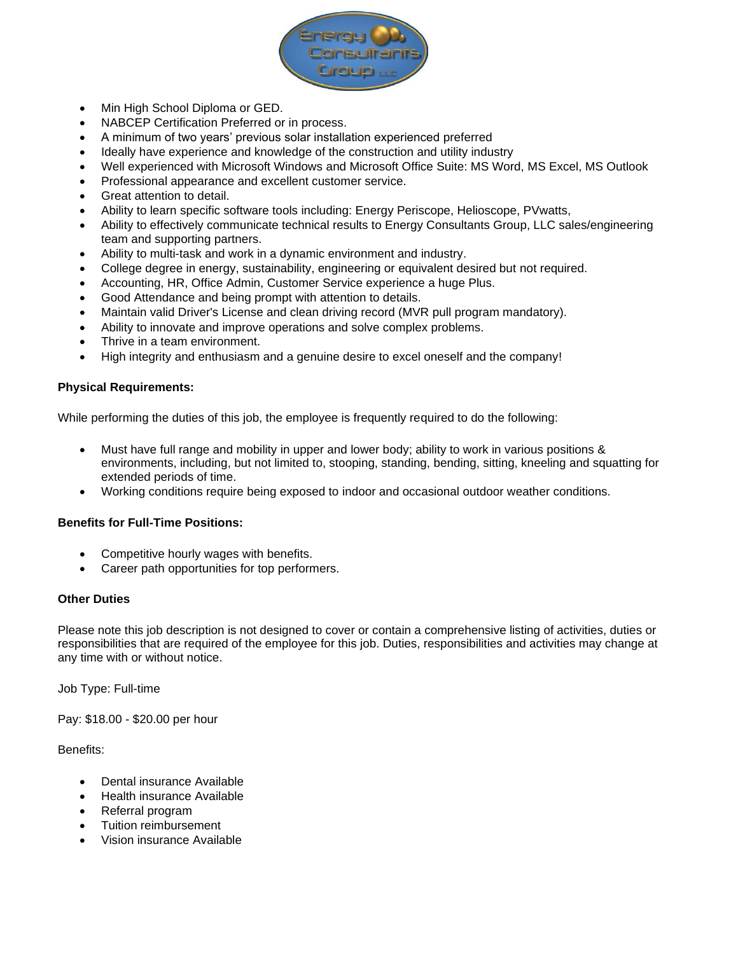

- Min High School Diploma or GED.
- NABCEP Certification Preferred or in process.
- A minimum of two years' previous solar installation experienced preferred
- Ideally have experience and knowledge of the construction and utility industry
- Well experienced with Microsoft Windows and Microsoft Office Suite: MS Word, MS Excel, MS Outlook
- Professional appearance and excellent customer service.
- Great attention to detail.
- Ability to learn specific software tools including: Energy Periscope, Helioscope, PVwatts,
- Ability to effectively communicate technical results to Energy Consultants Group, LLC sales/engineering team and supporting partners.
- Ability to multi-task and work in a dynamic environment and industry.
- College degree in energy, sustainability, engineering or equivalent desired but not required.
- Accounting, HR, Office Admin, Customer Service experience a huge Plus.
- Good Attendance and being prompt with attention to details.
- Maintain valid Driver's License and clean driving record (MVR pull program mandatory).
- Ability to innovate and improve operations and solve complex problems.
- Thrive in a team environment.
- High integrity and enthusiasm and a genuine desire to excel oneself and the company!

#### **Physical Requirements:**

While performing the duties of this job, the employee is frequently required to do the following:

- Must have full range and mobility in upper and lower body; ability to work in various positions & environments, including, but not limited to, stooping, standing, bending, sitting, kneeling and squatting for extended periods of time.
- Working conditions require being exposed to indoor and occasional outdoor weather conditions.

#### **Benefits for Full-Time Positions:**

- Competitive hourly wages with benefits.
- Career path opportunities for top performers.

### **Other Duties**

Please note this job description is not designed to cover or contain a comprehensive listing of activities, duties or responsibilities that are required of the employee for this job. Duties, responsibilities and activities may change at any time with or without notice.

Job Type: Full-time

Pay: \$18.00 - \$20.00 per hour

#### Benefits:

- Dental insurance Available
- Health insurance Available
- Referral program
- Tuition reimbursement
- Vision insurance Available